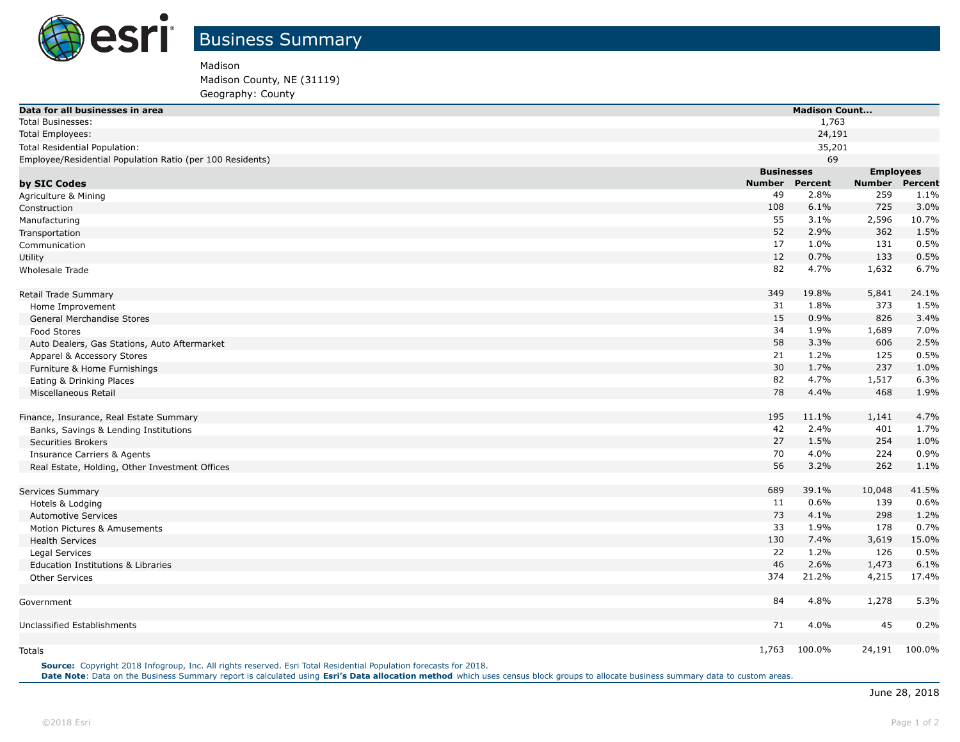

Madison

Madison County, NE (31119)

Geography: County

| Data for all businesses in area                           |                   | <b>Madison Count</b> |                  |                |  |
|-----------------------------------------------------------|-------------------|----------------------|------------------|----------------|--|
| <b>Total Businesses:</b>                                  |                   | 1,763                |                  |                |  |
| <b>Total Employees:</b>                                   |                   | 24,191               |                  |                |  |
| Total Residential Population:                             |                   | 35,201               |                  |                |  |
| Employee/Residential Population Ratio (per 100 Residents) |                   | 69                   |                  |                |  |
|                                                           | <b>Businesses</b> |                      | <b>Employees</b> |                |  |
| by SIC Codes                                              | <b>Number</b>     | <b>Percent</b>       | <b>Number</b>    | <b>Percent</b> |  |
| Agriculture & Mining                                      | 49                | 2.8%                 | 259              | 1.1%           |  |
| Construction                                              | 108               | 6.1%                 | 725              | 3.0%           |  |
| Manufacturing                                             | 55                | 3.1%                 | 2,596            | 10.7%          |  |
| Transportation                                            | 52                | 2.9%                 | 362              | 1.5%           |  |
| Communication                                             | 17                | 1.0%                 | 131              | 0.5%           |  |
| Utility                                                   | 12                | 0.7%                 | 133              | 0.5%           |  |
| <b>Wholesale Trade</b>                                    | 82                | 4.7%                 | 1,632            | 6.7%           |  |
| Retail Trade Summary                                      | 349               | 19.8%                | 5,841            | 24.1%          |  |
| Home Improvement                                          | 31                | 1.8%                 | 373              | 1.5%           |  |
| General Merchandise Stores                                | 15                | 0.9%                 | 826              | 3.4%           |  |
| Food Stores                                               | 34                | 1.9%                 | 1,689            | 7.0%           |  |
| Auto Dealers, Gas Stations, Auto Aftermarket              | 58                | 3.3%                 | 606              | 2.5%           |  |
| Apparel & Accessory Stores                                | 21                | 1.2%                 | 125              | 0.5%           |  |
| Furniture & Home Furnishings                              | 30                | 1.7%                 | 237              | 1.0%           |  |
| Eating & Drinking Places                                  | 82                | 4.7%                 | 1,517            | 6.3%           |  |
| Miscellaneous Retail                                      | 78                | 4.4%                 | 468              | 1.9%           |  |
| Finance, Insurance, Real Estate Summary                   | 195               | 11.1%                | 1,141            | 4.7%           |  |
| Banks, Savings & Lending Institutions                     | 42                | 2.4%                 | 401              | 1.7%           |  |
| <b>Securities Brokers</b>                                 | 27                | 1.5%                 | 254              | 1.0%           |  |
| <b>Insurance Carriers &amp; Agents</b>                    | 70                | 4.0%                 | 224              | 0.9%           |  |
| Real Estate, Holding, Other Investment Offices            | 56                | 3.2%                 | 262              | 1.1%           |  |
| Services Summary                                          | 689               | 39.1%                | 10,048           | 41.5%          |  |
| Hotels & Lodging                                          | 11                | 0.6%                 | 139              | 0.6%           |  |
| <b>Automotive Services</b>                                | 73                | 4.1%                 | 298              | 1.2%           |  |
| Motion Pictures & Amusements                              | 33                | 1.9%                 | 178              | 0.7%           |  |
| <b>Health Services</b>                                    | 130               | 7.4%                 | 3,619            | 15.0%          |  |
| Legal Services                                            | 22                | 1.2%                 | 126              | 0.5%           |  |
| Education Institutions & Libraries                        | 46                | 2.6%                 | 1,473            | 6.1%           |  |
| <b>Other Services</b>                                     | 374               | 21.2%                | 4,215            | 17.4%          |  |
| Government                                                | 84                | 4.8%                 | 1,278            | 5.3%           |  |
| Unclassified Establishments                               | 71                | 4.0%                 | 45               | 0.2%           |  |
|                                                           |                   |                      |                  |                |  |
| <b>Totals</b>                                             |                   | 1,763 100.0%         | 24,191           | 100.0%         |  |

**Source:** Copyright 2018 Infogroup, Inc. All rights reserved. Esri Total Residential Population forecasts for 2018. **Date Note**: Data on the Business Summary report is calculated using **[Esri's Data allocation method](http://doc.arcgis.com/en/esri-demographics/reference/data-allocation-method.htm)** which uses census block groups to allocate business summary data to custom areas.